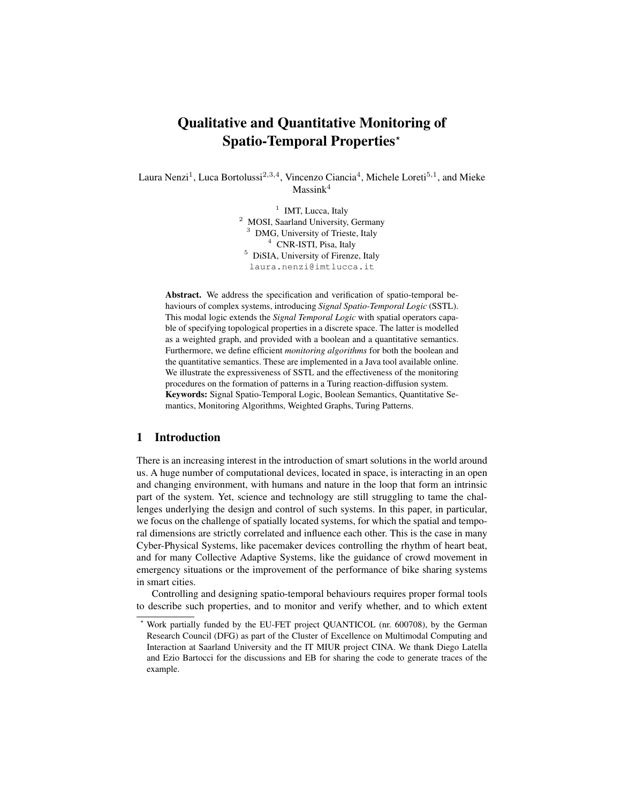# Qualitative and Quantitative Monitoring of Spatio-Temporal Properties**<sup>⋆</sup>**

Laura Nenzi<sup>1</sup>, Luca Bortolussi<sup>2,3,4</sup>, Vincenzo Ciancia<sup>4</sup>, Michele Loreti<sup>5,1</sup>, and Mieke  $Massink<sup>4</sup>$ 

> <sup>1</sup> IMT, Lucca, Italy <sup>2</sup> MOSI, Saarland University, Germany <sup>3</sup> DMG, University of Trieste, Italy <sup>4</sup> CNR-ISTI, Pisa, Italy <sup>5</sup> DiSIA, University of Firenze, Italy laura.nenzi@imtlucca.it

Abstract. We address the specification and verification of spatio-temporal behaviours of complex systems, introducing *Signal Spatio-Temporal Logic* (SSTL). This modal logic extends the *Signal Temporal Logic* with spatial operators capable of specifying topological properties in a discrete space. The latter is modelled as a weighted graph, and provided with a boolean and a quantitative semantics. Furthermore, we define efficient *monitoring algorithms* for both the boolean and the quantitative semantics. These are implemented in a Java tool available online. We illustrate the expressiveness of SSTL and the effectiveness of the monitoring procedures on the formation of patterns in a Turing reaction-diffusion system. Keywords: Signal Spatio-Temporal Logic, Boolean Semantics, Quantitative Semantics, Monitoring Algorithms, Weighted Graphs, Turing Patterns.

## 1 Introduction

There is an increasing interest in the introduction of smart solutions in the world around us. A huge number of computational devices, located in space, is interacting in an open and changing environment, with humans and nature in the loop that form an intrinsic part of the system. Yet, science and technology are still struggling to tame the challenges underlying the design and control of such systems. In this paper, in particular, we focus on the challenge of spatially located systems, for which the spatial and temporal dimensions are strictly correlated and influence each other. This is the case in many Cyber-Physical Systems, like pacemaker devices controlling the rhythm of heart beat, and for many Collective Adaptive Systems, like the guidance of crowd movement in emergency situations or the improvement of the performance of bike sharing systems in smart cities.

Controlling and designing spatio-temporal behaviours requires proper formal tools to describe such properties, and to monitor and verify whether, and to which extent

Work partially funded by the EU-FET project QUANTICOL (nr. 600708), by the German Research Council (DFG) as part of the Cluster of Excellence on Multimodal Computing and Interaction at Saarland University and the IT MIUR project CINA. We thank Diego Latella and Ezio Bartocci for the discussions and EB for sharing the code to generate traces of the example.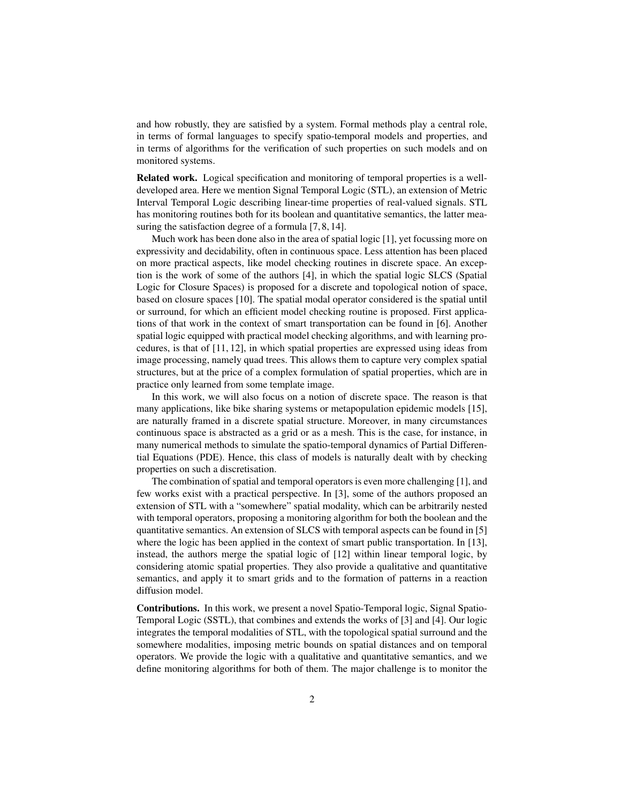and how robustly, they are satisfied by a system. Formal methods play a central role, in terms of formal languages to specify spatio-temporal models and properties, and in terms of algorithms for the verification of such properties on such models and on monitored systems.

Related work. Logical specification and monitoring of temporal properties is a welldeveloped area. Here we mention Signal Temporal Logic (STL), an extension of Metric Interval Temporal Logic describing linear-time properties of real-valued signals. STL has monitoring routines both for its boolean and quantitative semantics, the latter measuring the satisfaction degree of a formula [7, 8, 14].

Much work has been done also in the area of spatial logic [1], yet focussing more on expressivity and decidability, often in continuous space. Less attention has been placed on more practical aspects, like model checking routines in discrete space. An exception is the work of some of the authors [4], in which the spatial logic SLCS (Spatial Logic for Closure Spaces) is proposed for a discrete and topological notion of space, based on closure spaces [10]. The spatial modal operator considered is the spatial until or surround, for which an efficient model checking routine is proposed. First applications of that work in the context of smart transportation can be found in [6]. Another spatial logic equipped with practical model checking algorithms, and with learning procedures, is that of [11, 12], in which spatial properties are expressed using ideas from image processing, namely quad trees. This allows them to capture very complex spatial structures, but at the price of a complex formulation of spatial properties, which are in practice only learned from some template image.

In this work, we will also focus on a notion of discrete space. The reason is that many applications, like bike sharing systems or metapopulation epidemic models [15], are naturally framed in a discrete spatial structure. Moreover, in many circumstances continuous space is abstracted as a grid or as a mesh. This is the case, for instance, in many numerical methods to simulate the spatio-temporal dynamics of Partial Differential Equations (PDE). Hence, this class of models is naturally dealt with by checking properties on such a discretisation.

The combination of spatial and temporal operators is even more challenging [1], and few works exist with a practical perspective. In [3], some of the authors proposed an extension of STL with a "somewhere" spatial modality, which can be arbitrarily nested with temporal operators, proposing a monitoring algorithm for both the boolean and the quantitative semantics. An extension of SLCS with temporal aspects can be found in [5] where the logic has been applied in the context of smart public transportation. In [13], instead, the authors merge the spatial logic of [12] within linear temporal logic, by considering atomic spatial properties. They also provide a qualitative and quantitative semantics, and apply it to smart grids and to the formation of patterns in a reaction diffusion model.

Contributions. In this work, we present a novel Spatio-Temporal logic, Signal Spatio-Temporal Logic (SSTL), that combines and extends the works of [3] and [4]. Our logic integrates the temporal modalities of STL, with the topological spatial surround and the somewhere modalities, imposing metric bounds on spatial distances and on temporal operators. We provide the logic with a qualitative and quantitative semantics, and we define monitoring algorithms for both of them. The major challenge is to monitor the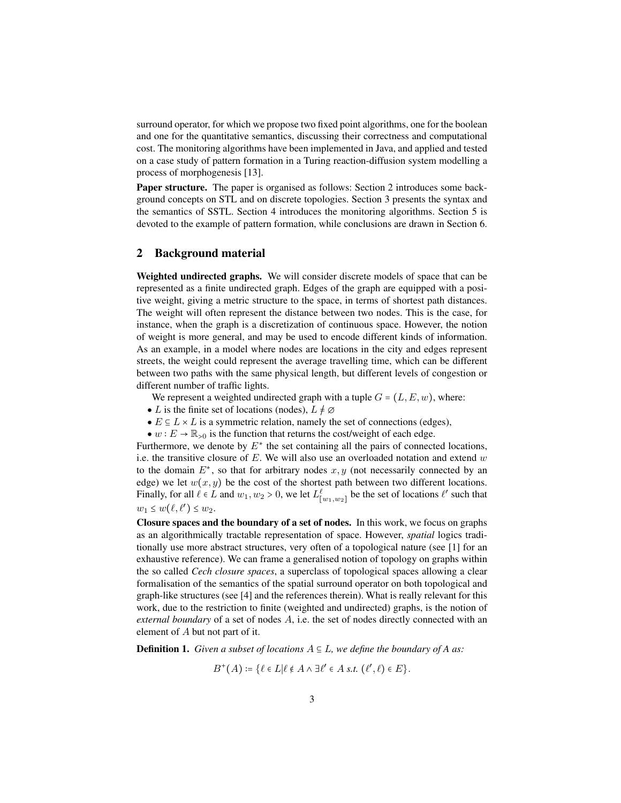surround operator, for which we propose two fixed point algorithms, one for the boolean and one for the quantitative semantics, discussing their correctness and computational cost. The monitoring algorithms have been implemented in Java, and applied and tested on a case study of pattern formation in a Turing reaction-diffusion system modelling a process of morphogenesis [13].

Paper structure. The paper is organised as follows: Section 2 introduces some background concepts on STL and on discrete topologies. Section 3 presents the syntax and the semantics of SSTL. Section 4 introduces the monitoring algorithms. Section 5 is devoted to the example of pattern formation, while conclusions are drawn in Section 6.

## 2 Background material

Weighted undirected graphs. We will consider discrete models of space that can be represented as a finite undirected graph. Edges of the graph are equipped with a positive weight, giving a metric structure to the space, in terms of shortest path distances. The weight will often represent the distance between two nodes. This is the case, for instance, when the graph is a discretization of continuous space. However, the notion of weight is more general, and may be used to encode different kinds of information. As an example, in a model where nodes are locations in the city and edges represent streets, the weight could represent the average travelling time, which can be different between two paths with the same physical length, but different levels of congestion or different number of traffic lights.

We represent a weighted undirected graph with a tuple  $G = (L, E, w)$ , where:

- L is the finite set of locations (nodes),  $L \neq \emptyset$
- $E \subseteq L \times L$  is a symmetric relation, namely the set of connections (edges),
- $w : E \to \mathbb{R}_{>0}$  is the function that returns the cost/weight of each edge.

Furthermore, we denote by  $E^*$  the set containing all the pairs of connected locations, i.e. the transitive closure of  $E$ . We will also use an overloaded notation and extend  $w$ to the domain  $E^*$ , so that for arbitrary nodes  $x, y$  (not necessarily connected by an edge) we let  $w(x, y)$  be the cost of the shortest path between two different locations. Finally, for all  $\ell \in L$  and  $w_1, w_2 > 0$ , we let  $L^{\ell}_{[w_1, w_2]}$  be the set of locations  $\ell'$  such that  $w_1 \leq w(\ell, \ell') \leq w_2.$ 

Closure spaces and the boundary of a set of nodes. In this work, we focus on graphs as an algorithmically tractable representation of space. However, *spatial* logics traditionally use more abstract structures, very often of a topological nature (see [1] for an exhaustive reference). We can frame a generalised notion of topology on graphs within the so called *Cech closure spaces*, a superclass of topological spaces allowing a clear formalisation of the semantics of the spatial surround operator on both topological and graph-like structures (see [4] and the references therein). What is really relevant for this work, due to the restriction to finite (weighted and undirected) graphs, is the notion of *external boundary* of a set of nodes A, i.e. the set of nodes directly connected with an element of A but not part of it.

**Definition 1.** *Given a subset of locations*  $A \subseteq L$ *, we define the boundary of A as:* 

 $B^+(A) \coloneqq \{ \ell \in L | \ell \notin A \land \exists \ell' \in A \text{ s.t. } (\ell', \ell) \in E \}.$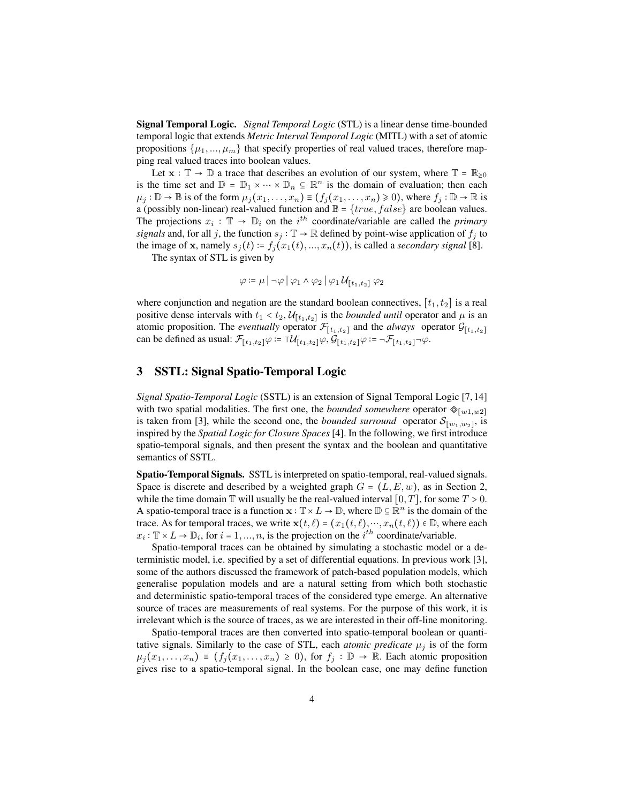Signal Temporal Logic. *Signal Temporal Logic* (STL) is a linear dense time-bounded temporal logic that extends *Metric Interval Temporal Logic* (MITL) with a set of atomic propositions  $\{\mu_1, ..., \mu_m\}$  that specify properties of real valued traces, therefore mapping real valued traces into boolean values.

Let  $\mathbf{x} : \mathbb{T} \to \mathbb{D}$  a trace that describes an evolution of our system, where  $\mathbb{T} = \mathbb{R}_{\geq 0}$ is the time set and  $\mathbb{D} = \mathbb{D}_1 \times \cdots \times \mathbb{D}_n \subseteq \mathbb{R}^n$  is the domain of evaluation; then each  $\mu_j : \mathbb{D} \to \mathbb{B}$  is of the form  $\mu_j(x_1, \ldots, x_n) \equiv (f_j(x_1, \ldots, x_n) \geq 0)$ , where  $f_j : \mathbb{D} \to \mathbb{R}$  is a (possibly non-linear) real-valued function and  $\mathbb{B} = \{true, false\}$  are boolean values. The projections  $x_i : \mathbb{T} \to \mathbb{D}_i$  on the  $i^{th}$  coordinate/variable are called the *primary signals* and, for all j, the function  $s_i : \mathbb{T} \to \mathbb{R}$  defined by point-wise application of  $f_i$  to the image of x, namely  $s_i(t) = f_i(x_1(t),...,x_n(t))$ , is called a *secondary signal* [8].

The syntax of STL is given by

$$
\varphi \coloneqq \mu \mid \neg \varphi \mid \varphi_1 \land \varphi_2 \mid \varphi_1 \mathcal{U}_{[t_1, t_2]} \varphi_2
$$

where conjunction and negation are the standard boolean connectives,  $[t_1, t_2]$  is a real positive dense intervals with  $t_1 < t_2$ ,  $\mathcal{U}_{[t_1,t_2]}$  is the *bounded until* operator and  $\mu$  is an atomic proposition. The *eventually* operator  $\mathcal{F}_{[t_1,t_2]}$  and the *always* operator  $\mathcal{G}_{[t_1,t_2]}$ can be defined as usual:  $\mathcal{F}_{[t_1,t_2]}\varphi \coloneqq \tau \mathcal{U}_{[t_1,t_2]}\varphi$ ,  $\mathcal{G}_{[t_1,t_2]}\varphi \coloneqq \neg \mathcal{F}_{[t_1,t_2]}\neg \varphi$ .

## 3 SSTL: Signal Spatio-Temporal Logic

*Signal Spatio-Temporal Logic* (SSTL) is an extension of Signal Temporal Logic [7, 14] with two spatial modalities. The first one, the *bounded somewhere* operator  $\otimes_{w1,w2}$ ] is taken from [3], while the second one, the *bounded surround* operator  $S_{[w_1,w_2]}$ , is inspired by the *Spatial Logic for Closure Spaces* [4]. In the following, we first introduce spatio-temporal signals, and then present the syntax and the boolean and quantitative semantics of SSTL.

Spatio-Temporal Signals. SSTL is interpreted on spatio-temporal, real-valued signals. Space is discrete and described by a weighted graph  $G = (L, E, w)$ , as in Section 2, while the time domain T will usually be the real-valued interval  $[0, T]$ , for some  $T > 0$ . A spatio-temporal trace is a function  $\mathbf{x} : \mathbb{T} \times L \to \mathbb{D}$ , where  $\mathbb{D} \subseteq \mathbb{R}^n$  is the domain of the trace. As for temporal traces, we write  $\mathbf{x}(t, \ell) = (x_1(t, \ell), ..., x_n(t, \ell)) \in \mathbb{D}$ , where each  $x_i : \mathbb{T} \times L \to \mathbb{D}_i$ , for  $i = 1, ..., n$ , is the projection on the  $i^{th}$  coordinate/variable.

Spatio-temporal traces can be obtained by simulating a stochastic model or a deterministic model, i.e. specified by a set of differential equations. In previous work [3], some of the authors discussed the framework of patch-based population models, which generalise population models and are a natural setting from which both stochastic and deterministic spatio-temporal traces of the considered type emerge. An alternative source of traces are measurements of real systems. For the purpose of this work, it is irrelevant which is the source of traces, as we are interested in their off-line monitoring.

Spatio-temporal traces are then converted into spatio-temporal boolean or quantitative signals. Similarly to the case of STL, each *atomic predicate*  $\mu_j$  is of the form  $\mu_j(x_1,\ldots,x_n) \equiv (f_j(x_1,\ldots,x_n) \geq 0)$ , for  $f_j : \mathbb{D} \to \mathbb{R}$ . Each atomic proposition gives rise to a spatio-temporal signal. In the boolean case, one may define function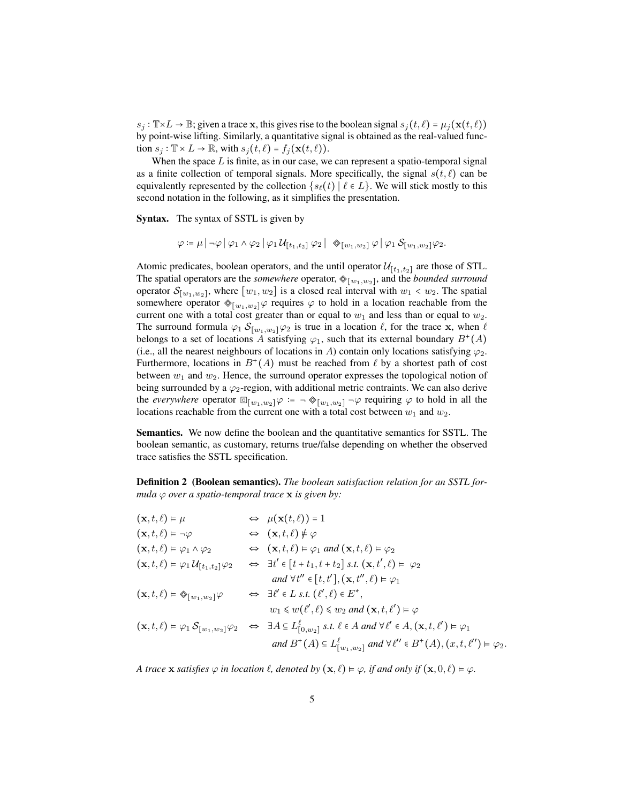$s_j : \mathbb{T} \times L \to \mathbb{B}$ ; given a trace x, this gives rise to the boolean signal  $s_j(t, \ell) = \mu_j(\mathbf{x}(t, \ell))$ by point-wise lifting. Similarly, a quantitative signal is obtained as the real-valued function  $s_j : \mathbb{T} \times L \to \mathbb{R}$ , with  $s_j(t, \ell) = f_j(\mathbf{x}(t, \ell)).$ 

When the space  $L$  is finite, as in our case, we can represent a spatio-temporal signal as a finite collection of temporal signals. More specifically, the signal  $s(t, \ell)$  can be equivalently represented by the collection  $\{s_{\ell}(t) | \ell \in L\}$ . We will stick mostly to this second notation in the following, as it simplifies the presentation.

Syntax. The syntax of SSTL is given by

 $\varphi := \mu \, |\, \neg \varphi \, | \, \varphi_1 \wedge \varphi_2 \, | \, \varphi_1 \mathcal{U}_{[t_1,t_2]} \varphi_2 \, | \, \otimes_{[w_1,w_2]} \varphi \, | \, \varphi_1 \mathcal{S}_{[w_1,w_2]} \varphi_2.$ 

Atomic predicates, boolean operators, and the until operator  $\mathcal{U}_{[t_1,t_2]}$  are those of STL. The spatial operators are the *somewhere* operator,  $\otimes_{[w_1,w_2]}$ , and the *bounded surround* operator  $\mathcal{S}_{[w_1,w_2]}$ , where  $[w_1,w_2]$  is a closed real interval with  $w_1 < w_2$ . The spatial somewhere operator  $\otimes_{[w_1,w_2]}\varphi$  requires  $\varphi$  to hold in a location reachable from the current one with a total cost greater than or equal to  $w_1$  and less than or equal to  $w_2$ . The surround formula  $\varphi_1$   $S_{[w_1,w_2]} \varphi_2$  is true in a location  $\ell$ , for the trace x, when  $\ell$ belongs to a set of locations A satisfying  $\varphi_1$ , such that its external boundary  $B^+(A)$ (i.e., all the nearest neighbours of locations in A) contain only locations satisfying  $\varphi_2$ . Furthermore, locations in  $B^+(A)$  must be reached from  $\ell$  by a shortest path of cost between  $w_1$  and  $w_2$ . Hence, the surround operator expresses the topological notion of being surrounded by a  $\varphi_2$ -region, with additional metric contraints. We can also derive the *everywhere* operator  $\mathbb{E}_{[w_1,w_2]}\varphi := \neg \otimes_{[w_1,w_2]} \neg \varphi$  requiring  $\varphi$  to hold in all the locations reachable from the current one with a total cost between  $w_1$  and  $w_2$ .

Semantics. We now define the boolean and the quantitative semantics for SSTL. The boolean semantic, as customary, returns true/false depending on whether the observed trace satisfies the SSTL specification.

Definition 2 (Boolean semantics). *The boolean satisfaction relation for an SSTL formula*  $\varphi$  *over a spatio-temporal trace* **x** *is given by:* 

| $(\mathbf{x}, t, \ell) \vDash \mu$                                          | $\Leftrightarrow$ $\mu(\mathbf{x}(t,\ell)) = 1$                                                                                                                                                                                        |
|-----------------------------------------------------------------------------|----------------------------------------------------------------------------------------------------------------------------------------------------------------------------------------------------------------------------------------|
| $(\mathbf{x}, t, \ell) \vDash \neg \varphi$                                 | $\Leftrightarrow$ $(\mathbf{x}, t, \ell) \neq \varphi$                                                                                                                                                                                 |
| $(\mathbf{x}, t, \ell) \vDash \varphi_1 \wedge \varphi_2$                   | $\Leftrightarrow$ $(\mathbf{x}, t, \ell) \vDash \varphi_1$ and $(\mathbf{x}, t, \ell) \vDash \varphi_2$                                                                                                                                |
| $(\mathbf{x}, t, \ell) \vDash \varphi_1 \mathcal{U}_{[t_1, t_2]} \varphi_2$ | $\Leftrightarrow$ $\exists t' \in [t+t_1, t+t_2] \text{ s.t. } (\mathbf{x}, t', \ell) \models \varphi_2$                                                                                                                               |
|                                                                             | and $\forall t'' \in [t, t'], (\mathbf{x}, t'', \ell) \models \varphi_1$                                                                                                                                                               |
| $(\mathbf{x}, t, \ell) \vDash \mathcal{L}_{[w_1, w_2]} \varphi$             | $\Leftrightarrow$ $\exists \ell' \in L \text{ s.t. } (\ell', \ell) \in E^*,$                                                                                                                                                           |
|                                                                             | $w_1 \leq w(\ell',\ell) \leq w_2$ and $(\mathbf{x},t,\ell') \vDash \varphi$                                                                                                                                                            |
|                                                                             | $(\mathbf{x}, t, \ell) \vDash \varphi_1 \mathcal{S}_{[w_1, w_2]} \varphi_2 \Leftrightarrow \exists A \subseteq L^{\ell}_{[0, w_2]} \text{ s.t. } \ell \in A \text{ and } \forall \ell' \in A, (\mathbf{x}, t, \ell') \vDash \varphi_1$ |
|                                                                             | and $B^+(A) \subseteq L^{\ell}_{\lceil w_1, w_2 \rceil}$ and $\forall \ell'' \in B^+(A), (x, t, \ell'') \models \varphi_2$ .                                                                                                           |

*A trace* **x** *satisfies*  $\varphi$  *in location*  $\ell$ *, denoted by*  $(\mathbf{x}, \ell) \models \varphi$ *, if and only if*  $(\mathbf{x}, 0, \ell) \models \varphi$ *.*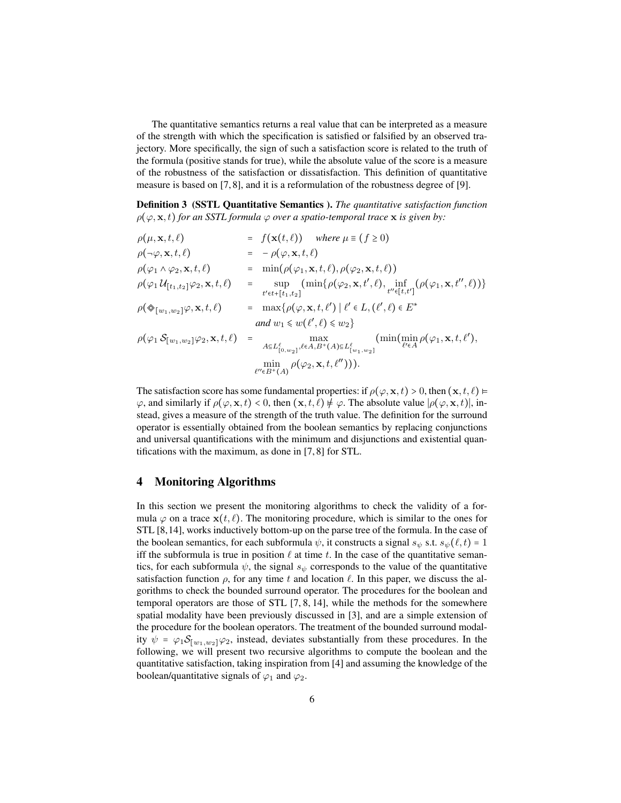The quantitative semantics returns a real value that can be interpreted as a measure of the strength with which the specification is satisfied or falsified by an observed trajectory. More specifically, the sign of such a satisfaction score is related to the truth of the formula (positive stands for true), while the absolute value of the score is a measure of the robustness of the satisfaction or dissatisfaction. This definition of quantitative measure is based on [7, 8], and it is a reformulation of the robustness degree of [9].

Definition 3 (SSTL Quantitative Semantics ). *The quantitative satisfaction function*  $\rho(\varphi, \mathbf{x}, t)$  *for an SSTL formula*  $\varphi$  *over a spatio-temporal trace* **x** *is given by:* 

| $\rho(\mu, \mathbf{x}, t, \ell)$                                         | $= f(\mathbf{x}(t,\ell))$ where $\mu \equiv (f \ge 0)$                                                                                                |
|--------------------------------------------------------------------------|-------------------------------------------------------------------------------------------------------------------------------------------------------|
| $\rho(\neg \varphi, \mathbf{x}, t, \ell)$                                | $= -\rho(\varphi, \mathbf{x}, t, \ell)$                                                                                                               |
| $\rho(\varphi_1 \wedge \varphi_2, \mathbf{x}, t, \ell)$                  | = $\min(\rho(\varphi_1, \mathbf{x}, t, \ell), \rho(\varphi_2, \mathbf{x}, t, \ell))$                                                                  |
| $\rho(\varphi_1 \mathcal{U}_{[t_1,t_2]} \varphi_2, \mathbf{x}, t, \ell)$ | $\sup_{t' \in t + [t_1, t_2]} (\min\{\rho(\varphi_2, \mathbf{x}, t', \ell), \inf_{t'' \in [t, t']} (\rho(\varphi_1, \mathbf{x}, t'', \ell))\}$        |
| $\rho(\otimes_{w_1,w_2} \varphi,\mathbf{x},t,\ell)$                      | = $\max\{\rho(\varphi, \mathbf{x}, t, \ell') \mid \ell' \in L, (\ell', \ell) \in E^* \}$                                                              |
|                                                                          | and $w_1 \leq w(\ell', \ell) \leq w_2$                                                                                                                |
| $\rho(\varphi_1 \mathcal{S}_{[w_1,w_2]} \varphi_2,\mathbf{x},t,\ell) =$  | $\min(\min_{\ell' \in A} \rho(\varphi_1, \mathbf{x}, t, \ell'),$<br>$\max_{A\subseteq L^\ell_{[0,w_2]},\ell\in A,B^+(A)\subseteq L^\ell_{[w_1,w_2]}}$ |
|                                                                          | $\min_{\ell'' \in B^+(A)} \rho(\varphi_2, \mathbf{x}, t, \ell''))$ .                                                                                  |

The satisfaction score has some fundamental properties: if  $\rho(\varphi, \mathbf{x}, t) > 0$ , then  $(\mathbf{x}, t, \ell) \models$  $\varphi$ , and similarly if  $\rho(\varphi, \mathbf{x}, t) < 0$ , then  $(\mathbf{x}, t, \ell) \neq \varphi$ . The absolute value  $|\rho(\varphi, \mathbf{x}, t)|$ , instead, gives a measure of the strength of the truth value. The definition for the surround operator is essentially obtained from the boolean semantics by replacing conjunctions and universal quantifications with the minimum and disjunctions and existential quantifications with the maximum, as done in [7, 8] for STL.

# 4 Monitoring Algorithms

In this section we present the monitoring algorithms to check the validity of a formula  $\varphi$  on a trace  $\mathbf{x}(t, \ell)$ . The monitoring procedure, which is similar to the ones for STL [8,14], works inductively bottom-up on the parse tree of the formula. In the case of the boolean semantics, for each subformula  $\psi$ , it constructs a signal  $s_{\psi}$  s.t.  $s_{\psi}(\ell, t) = 1$ iff the subformula is true in position  $\ell$  at time t. In the case of the quantitative semantics, for each subformula  $\psi$ , the signal  $s_{\psi}$  corresponds to the value of the quantitative satisfaction function  $\rho$ , for any time t and location  $\ell$ . In this paper, we discuss the algorithms to check the bounded surround operator. The procedures for the boolean and temporal operators are those of STL [7, 8, 14], while the methods for the somewhere spatial modality have been previously discussed in [3], and are a simple extension of the procedure for the boolean operators. The treatment of the bounded surround modality  $\psi = \varphi_1 \mathcal{S}_{[w_1,w_2]} \varphi_2$ , instead, deviates substantially from these procedures. In the following, we will present two recursive algorithms to compute the boolean and the quantitative satisfaction, taking inspiration from [4] and assuming the knowledge of the boolean/quantitative signals of  $\varphi_1$  and  $\varphi_2$ .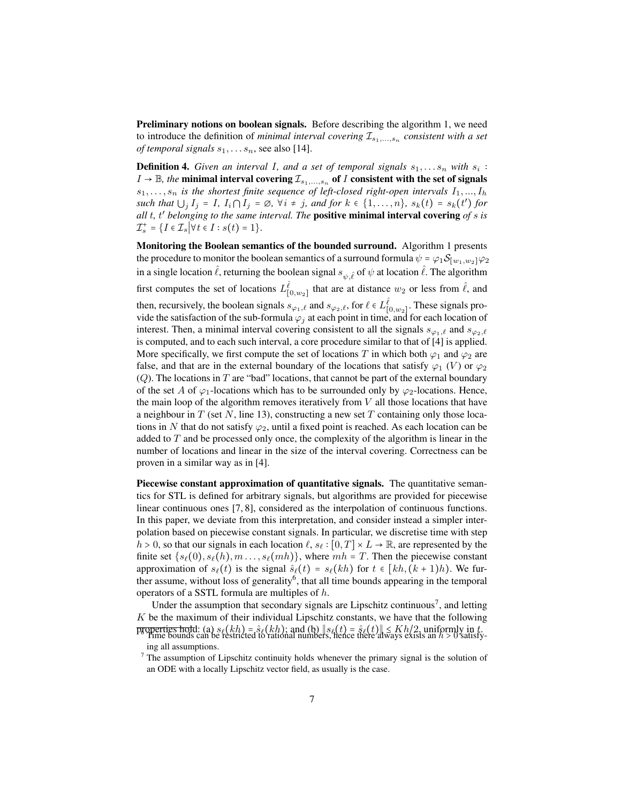Preliminary notions on boolean signals. Before describing the algorithm 1, we need to introduce the definition of *minimal interval covering*  $\mathcal{I}_{s_1,...,s_n}$  *consistent with a set of temporal signals*  $s_1, \ldots s_n$ , see also [14].

**Definition 4.** Given an interval I, and a set of temporal signals  $s_1, \ldots s_n$  with  $s_i$ :  $I \to \mathbb{B}$ , the **minimal interval covering**  $\mathcal{I}_{s_1,...,s_n}$  of *I* consistent with the set of signals  $s_1, \ldots, s_n$  *is the shortest finite sequence of left-closed right-open intervals*  $I_1, \ldots, I_h$ *such that*  $\bigcup_j I_j = I$ *,*  $I_i \cap I_j = \emptyset$ *,*  $\forall i \neq j$ *, and for*  $k \in \{1, ..., n\}$ *,*  $s_k(t) = s_k(t')$  *for all* t*,* t ′ *belonging to the same interval. The* positive minimal interval covering *of* s *is*  $\mathcal{I}_s^+ = \{I \in \mathcal{I}_s \big| \forall t \in I : s(t) = 1\}.$ 

Monitoring the Boolean semantics of the bounded surround. Algorithm 1 presents the procedure to monitor the boolean semantics of a surround formula  $\psi = \varphi_1 \mathcal{S}_{w_1,w_2}$   $\varphi_2$ in a single location  $\hat{\ell}$ , returning the boolean signal  $s_{\psi,\hat{\ell}}$  of  $\psi$  at location  $\hat{\ell}$ . The algorithm first computes the set of locations  $L^{\hat{\ell}}_{[0,w_2]}$  that are at distance  $w_2$  or less from  $\hat{\ell}$ , and then, recursively, the boolean signals  $s_{\varphi_1,\ell}$  and  $s_{\varphi_2,\ell}$ , for  $\ell \in L^{\hat{\ell}}_{[0,w_2]}$ . These signals provide the satisfaction of the sub-formula  $\varphi_j$  at each point in time, and for each location of interest. Then, a minimal interval covering consistent to all the signals  $s_{\varphi_1,\ell}$  and  $s_{\varphi_2,\ell}$ is computed, and to each such interval, a core procedure similar to that of [4] is applied. More specifically, we first compute the set of locations T in which both  $\varphi_1$  and  $\varphi_2$  are false, and that are in the external boundary of the locations that satisfy  $\varphi_1$  (V) or  $\varphi_2$  $(Q)$ . The locations in T are "bad" locations, that cannot be part of the external boundary of the set A of  $\varphi_1$ -locations which has to be surrounded only by  $\varphi_2$ -locations. Hence, the main loop of the algorithm removes iteratively from  $V$  all those locations that have a neighbour in T (set N, line 13), constructing a new set T containing only those locations in N that do not satisfy  $\varphi_2$ , until a fixed point is reached. As each location can be added to  $T$  and be processed only once, the complexity of the algorithm is linear in the number of locations and linear in the size of the interval covering. Correctness can be proven in a similar way as in [4].

Piecewise constant approximation of quantitative signals. The quantitative semantics for STL is defined for arbitrary signals, but algorithms are provided for piecewise linear continuous ones [7, 8], considered as the interpolation of continuous functions. In this paper, we deviate from this interpretation, and consider instead a simpler interpolation based on piecewise constant signals. In particular, we discretise time with step  $h > 0$ , so that our signals in each location  $\ell$ ,  $s_{\ell} : [0, T] \times L \rightarrow \mathbb{R}$ , are represented by the finite set  $\{s_{\ell}(0), s_{\ell}(h), m \ldots, s_{\ell}(mh)\}$ , where  $mh = T$ . Then the piecewise constant approximation of  $s_{\ell}(t)$  is the signal  $\hat{s}_{\ell}(t) = s_{\ell}(kh)$  for  $t \in [kh, (k + 1)h)$ . We further assume, without loss of generality<sup>6</sup>, that all time bounds appearing in the temporal operators of a SSTL formula are multiples of h.

Under the assumption that secondary signals are Lipschitz continuous<sup>7</sup>, and letting  $K$  be the maximum of their individual Lipschitz constants, we have that the following properties hold: (a)  $s_{\ell}(kh) = \hat{s}_{\ell}(kh)$ ; and (b)  $||s_{\ell}(t) = \hat{s}_{\ell}(t)|| \le Kh/2$ , uniformly in t. 6 Time bounds can be restricted to rational numbers, hence there always exists an  $h > 0$  satisfy-

ing all assumptions.

 $7$  The assumption of Lipschitz continuity holds whenever the primary signal is the solution of an ODE with a locally Lipschitz vector field, as usually is the case.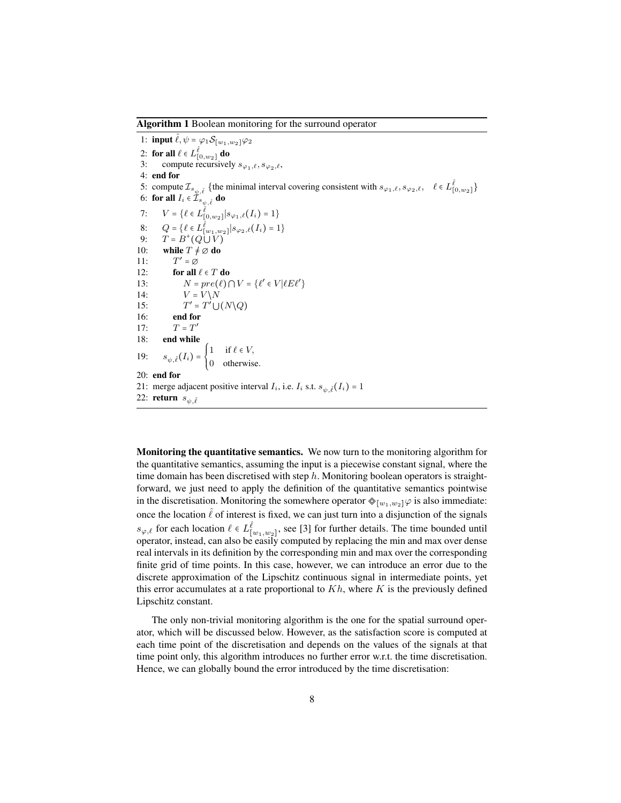Algorithm 1 Boolean monitoring for the surround operator

1: input  $\hat{\ell}, \psi = \varphi_1 \mathcal{S}_{[w_1,w_2]} \varphi_2$ 2: for all  $\ell \in L^{\hat{\ell}}_{[0,w_2]}$  do 3: compute recursively  $s_{\varphi_1,\ell}, s_{\varphi_2,\ell},$ 4: end for 5: compute  $\mathcal{I}_{s_{\psi,\hat{\ell}}}$  {the minimal interval covering consistent with  $s_{\varphi_1,\ell}, s_{\varphi_2,\ell}, \ell \in L^{\hat{\ell}}_{[0,w_2]}$ } 6: for all  $I_i$  ∈  $\mathcal{I}_{s_{\psi,\hat{\ell}}}$  do 7:  $V = \{ \ell \in L_{[0,w_2]}^{\hat{\ell}} | s_{\varphi_1,\ell}(I_i) = 1 \}$ 8:  $Q = \{ \ell \in L_{[w_1, w_2]}^{\hat{\ell}} | s_{\varphi_2, \ell}(I_i) = 1 \}$ 9:  $T = B^+(Q \cup V)$ 10: while  $T \neq \emptyset$  do  $11:$  $' = \varnothing$ 12: for all  $\ell \in T$  do 13:  $N = pre(\ell) \cap V = \{ \ell' \in V | \ell E \ell' \}$ 14:  $V = V \backslash N$  $15:$  $' = T' \cup (N \setminus Q)$ 16: end for 17:  $T = T'$ 18: end while 19:  $s_{\psi,\ell}(I_i) = \begin{cases} \frac{1}{\sqrt{2\pi}} & \text{if } i \leq n \\ 0 & \text{if } i \leq n \end{cases}$ 1 if  $\ell \in V$ , 0 otherwise. 20: end for 21: merge adjacent positive interval  $I_i$ , i.e.  $I_i$  s.t.  $s_{\psi,\hat{\ell}}(I_i) = 1$ 22: return  $s_{\psi}$   $\hat{r}$ 

Monitoring the quantitative semantics. We now turn to the monitoring algorithm for the quantitative semantics, assuming the input is a piecewise constant signal, where the time domain has been discretised with step  $h$ . Monitoring boolean operators is straightforward, we just need to apply the definition of the quantitative semantics pointwise in the discretisation. Monitoring the somewhere operator  $\otimes_{[w_1,w_2]}\varphi$  is also immediate: once the location  $\hat{\ell}$  of interest is fixed, we can just turn into a disjunction of the signals  $s_{\varphi,\ell}$  for each location  $\ell \in L^{\hat{\ell}}_{[w_1,w_2]}$ , see [3] for further details. The time bounded until operator, instead, can also be easily computed by replacing the min and max over dense real intervals in its definition by the corresponding min and max over the corresponding finite grid of time points. In this case, however, we can introduce an error due to the discrete approximation of the Lipschitz continuous signal in intermediate points, yet this error accumulates at a rate proportional to  $Kh$ , where K is the previously defined Lipschitz constant.

The only non-trivial monitoring algorithm is the one for the spatial surround operator, which will be discussed below. However, as the satisfaction score is computed at each time point of the discretisation and depends on the values of the signals at that time point only, this algorithm introduces no further error w.r.t. the time discretisation. Hence, we can globally bound the error introduced by the time discretisation: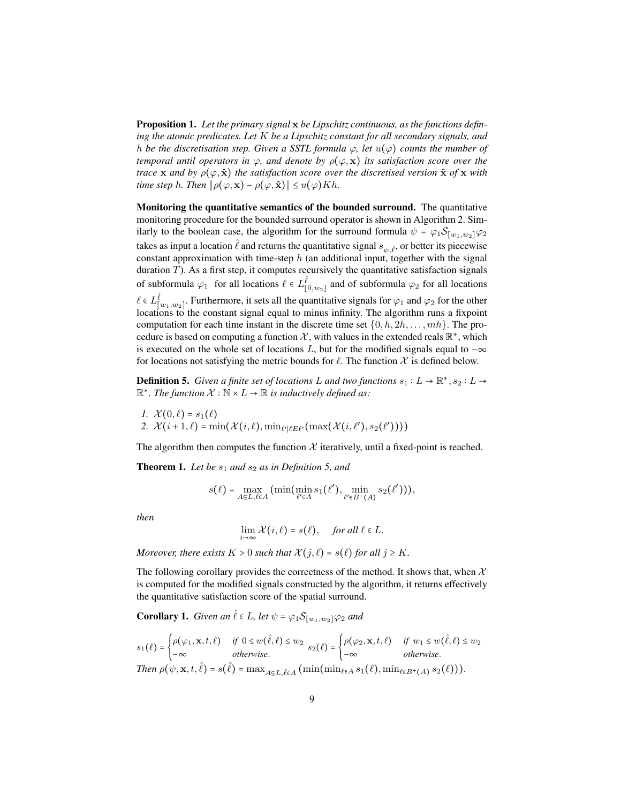Proposition 1. *Let the primary signal* x *be Lipschitz continuous, as the functions defining the atomic predicates. Let* K *be a Lipschitz constant for all secondary signals, and* h be the discretisation step. Given a SSTL formula  $\varphi$ , let  $u(\varphi)$  counts the number of *temporal until operators in*  $\varphi$ *, and denote by*  $\rho(\varphi, \mathbf{x})$  *its satisfaction score over the trace* **x** *and by*  $\rho(\varphi, \hat{\mathbf{x}})$  *the satisfaction score over the discretised version*  $\hat{\mathbf{x}}$  *of* **x** *with time step h. Then*  $\|\rho(\varphi, \mathbf{x}) - \rho(\varphi, \hat{\mathbf{x}})\| \leq u(\varphi) Kh$ .

Monitoring the quantitative semantics of the bounded surround. The quantitative monitoring procedure for the bounded surround operator is shown in Algorithm 2. Similarly to the boolean case, the algorithm for the surround formula  $\psi = \varphi_1 \mathcal{S}_{[w_1,w_2]} \varphi_2$ takes as input a location  $\ell$  and returns the quantitative signal  $s_{\psi \hat{j}}$ , or better its piecewise constant approximation with time-step  $h$  (an additional input, together with the signal duration  $T$ ). As a first step, it computes recursively the quantitative satisfaction signals of subformula  $\varphi_1$  for all locations  $\ell \in L^{\hat{\ell}}_{[0,w_2]}$  and of subformula  $\varphi_2$  for all locations  $\ell \in L^{\hat{\ell}}_{[w_1,w_2]}$ . Furthermore, it sets all the quantitative signals for  $\varphi_1$  and  $\varphi_2$  for the other locations to the constant signal equal to minus infinity. The algorithm runs a fixpoint computation for each time instant in the discrete time set  $\{0, h, 2h, \ldots, mh\}$ . The procedure is based on computing a function  $\mathcal{X}$ , with values in the extended reals  $\mathbb{R}^*$ , which is executed on the whole set of locations L, but for the modified signals equal to  $-\infty$ for locations not satisfying the metric bounds for  $\ell$ . The function  $\mathcal X$  is defined below.

**Definition 5.** Given a finite set of locations L and two functions  $s_1: L \to \mathbb{R}^*, s_2: L \to$  $\mathbb{R}^*$ . The function  $\mathcal{X} : \mathbb{N} \times L \to \mathbb{R}$  is inductively defined as:

*1.*  $\mathcal{X}(0,\ell) = s_1(\ell)$ 2.  $\mathcal{X}(i + 1, \ell) = \min(\mathcal{X}(i, \ell), \min_{\ell' | \ell \in \ell'} (\max(\mathcal{X}(i, \ell'), s_2(\ell'))))$ 

The algorithm then computes the function  $\mathcal X$  iteratively, until a fixed-point is reached.

**Theorem 1.** Let be  $s_1$  and  $s_2$  as in Definition 5, and

$$
s(\ell) = \max_{A \subseteq L, \ell \in A} (\min(\min_{\ell' \in A} s_1(\ell'), \min_{\ell' \in B^+(A)} s_2(\ell'))),
$$

*then*

$$
\lim_{i \to \infty} \mathcal{X}(i,\ell) = s(\ell), \quad \text{for all } \ell \in L.
$$

*Moreover, there exists*  $K > 0$  *such that*  $\mathcal{X}(j, \ell) = s(\ell)$  *for all*  $j \geq K$ *.* 

The following corollary provides the correctness of the method. It shows that, when  $\mathcal{X}$ is computed for the modified signals constructed by the algorithm, it returns effectively the quantitative satisfaction score of the spatial surround.

**Corollary 1.** *Given an*  $\hat{\ell} \in L$ *, let*  $\psi = \varphi_1 \mathcal{S}_{[w_1,w_2]} \varphi_2$  *and* 

$$
s_1(\ell) = \begin{cases} \rho(\varphi_1, \mathbf{x}, t, \ell) & \text{if } 0 \le w(\hat{\ell}, \ell) \le w_2 \\ -\infty & \text{otherwise.} \end{cases} s_2(\ell) = \begin{cases} \rho(\varphi_2, \mathbf{x}, t, \ell) & \text{if } w_1 \le w(\hat{\ell}, \ell) \le w_2 \\ -\infty & \text{otherwise.} \end{cases}
$$
\n
$$
\text{Then } \rho(\psi, \mathbf{x}, t, \hat{\ell}) = s(\hat{\ell}) = \max_{A \subseteq L, \hat{\ell} \in A} \left( \min(\min_{\ell \in A} s_1(\ell), \min_{\ell \in B^+(\Lambda)} s_2(\ell) \right) \right).
$$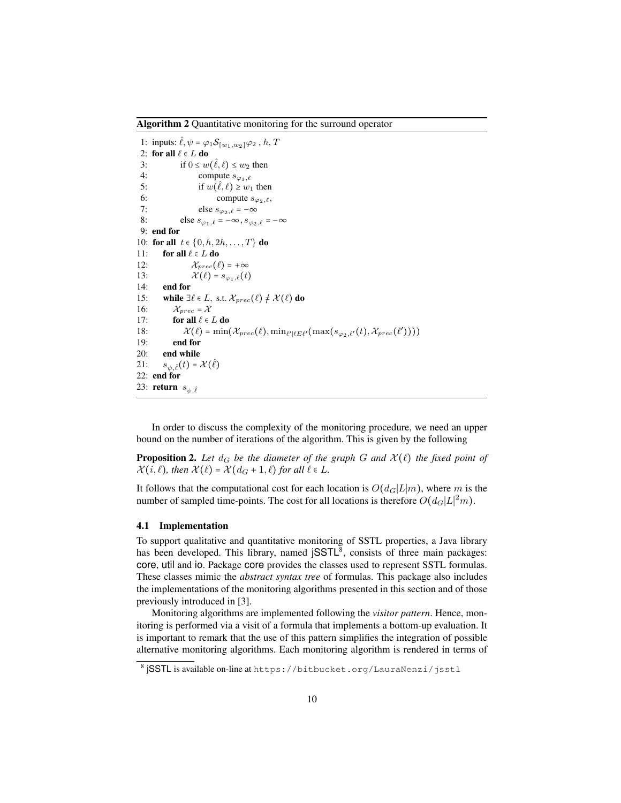Algorithm 2 Quantitative monitoring for the surround operator

```
1: inputs: \hat{\ell}, \psi = \varphi_1 \mathcal{S}_{[w_1,w_2]} \varphi_2 , h, T2: for all \ell \in L do
 3: if 0 \leq w(\hat{\ell}, \ell) \leq w_2 then
 4: compute s_{\varphi_1,\ell}5: if w(\hat{\ell}, \ell) \geq w_1 then
 6: compute s_{\varphi_2,\ell},
 7: else s_{\varphi_2,\ell} = -\infty8: else s_{\varphi_1,\ell} = -\infty, s_{\varphi_2,\ell} = -\infty9: end for
10: for all t \in \{0, h, 2h, \ldots, T\} do
11: for all \ell \in L do
12: \mathcal{X}_{prec}(\ell) = +\infty13: \mathcal{X}(\ell) = s_{\varphi_1,\ell}(t)<br>14: end for
         end for
15: while ∃\ell \in L, s.t. \mathcal{X}_{prec}(\ell) \neq \mathcal{X}(\ell) do
16: \mathcal{X}_{prec} = \mathcal{X}17: for all \ell \in L do
18: \mathcal{X}(\ell) = \min(\mathcal{X}_{prec}(\ell), \min_{\ell'|\ell E \ell'}(\max(s_{\varphi_2,\ell'}(t), \mathcal{X}_{prec}(\ell'))))19: end for
20: end while
21: s_{\psi,\hat{\ell}}(t) = \mathcal{X}(\hat{\ell})22: end for
23: return s_{\psi,\hat{\ell}}
```
In order to discuss the complexity of the monitoring procedure, we need an upper bound on the number of iterations of the algorithm. This is given by the following

**Proposition 2.** Let  $d_G$  be the diameter of the graph G and  $\mathcal{X}(\ell)$  the fixed point of  $\mathcal{X}(i, \ell)$ , then  $\mathcal{X}(\ell) = \mathcal{X}(d_G + 1, \ell)$  for all  $\ell \in L$ .

It follows that the computational cost for each location is  $O(d_G|L|m)$ , where m is the number of sampled time-points. The cost for all locations is therefore  $O(d_G|L|^2m)$ .

#### 4.1 Implementation

To support qualitative and quantitative monitoring of SSTL properties, a Java library has been developed. This library, named  $|SSTL<sup>8</sup>$ , consists of three main packages: core, util and io. Package core provides the classes used to represent SSTL formulas. These classes mimic the *abstract syntax tree* of formulas. This package also includes the implementations of the monitoring algorithms presented in this section and of those previously introduced in [3].

Monitoring algorithms are implemented following the *visitor pattern*. Hence, monitoring is performed via a visit of a formula that implements a bottom-up evaluation. It is important to remark that the use of this pattern simplifies the integration of possible alternative monitoring algorithms. Each monitoring algorithm is rendered in terms of

 $^8$  j<code>SSTL</code> is available on-line at <code>https://bitbucket.org/LauraNenzi/jsstl</code>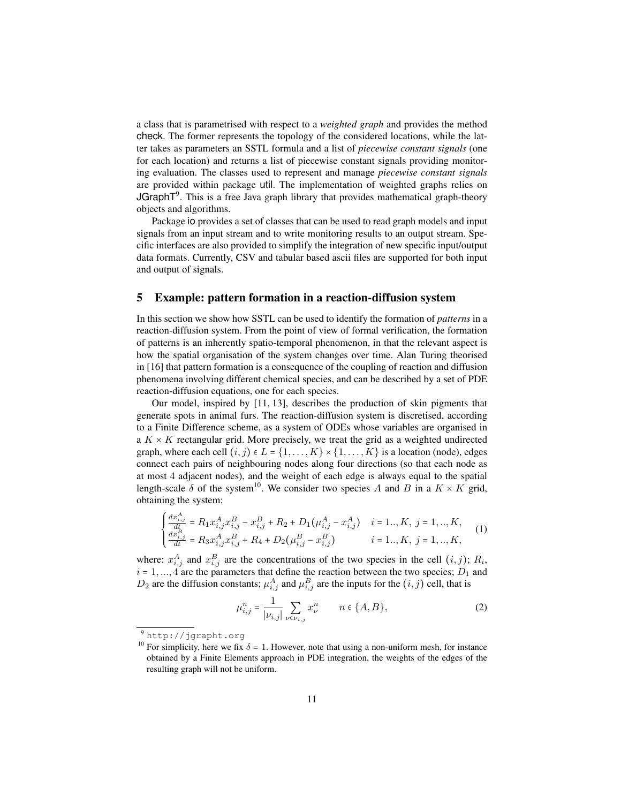a class that is parametrised with respect to a *weighted graph* and provides the method check. The former represents the topology of the considered locations, while the latter takes as parameters an SSTL formula and a list of *piecewise constant signals* (one for each location) and returns a list of piecewise constant signals providing monitoring evaluation. The classes used to represent and manage *piecewise constant signals* are provided within package util. The implementation of weighted graphs relies on JGraphT<sup>9</sup>. This is a free Java graph library that provides mathematical graph-theory objects and algorithms.

Package io provides a set of classes that can be used to read graph models and input signals from an input stream and to write monitoring results to an output stream. Specific interfaces are also provided to simplify the integration of new specific input/output data formats. Currently, CSV and tabular based ascii files are supported for both input and output of signals.

### 5 Example: pattern formation in a reaction-diffusion system

In this section we show how SSTL can be used to identify the formation of *patterns* in a reaction-diffusion system. From the point of view of formal verification, the formation of patterns is an inherently spatio-temporal phenomenon, in that the relevant aspect is how the spatial organisation of the system changes over time. Alan Turing theorised in [16] that pattern formation is a consequence of the coupling of reaction and diffusion phenomena involving different chemical species, and can be described by a set of PDE reaction-diffusion equations, one for each species.

Our model, inspired by [11, 13], describes the production of skin pigments that generate spots in animal furs. The reaction-diffusion system is discretised, according to a Finite Difference scheme, as a system of ODEs whose variables are organised in a  $K \times K$  rectangular grid. More precisely, we treat the grid as a weighted undirected graph, where each cell  $(i, j) \in L = \{1, \ldots, K\} \times \{1, \ldots, K\}$  is a location (node), edges connect each pairs of neighbouring nodes along four directions (so that each node as at most 4 adjacent nodes), and the weight of each edge is always equal to the spatial length-scale  $\delta$  of the system<sup>10</sup>. We consider two species A and B in a  $K \times K$  grid, obtaining the system:

$$
\begin{cases} \frac{dx_{i,j}^A}{dt} = R_1 x_{i,j}^A x_{i,j}^B - x_{i,j}^B + R_2 + D_1(\mu_{i,j}^A - x_{i,j}^A) & i = 1..., K, j = 1,.., K, \\ \frac{dx_{i,j}^B}{dt} = R_3 x_{i,j}^A x_{i,j}^B + R_4 + D_2(\mu_{i,j}^B - x_{i,j}^B) & i = 1..., K, j = 1,.., K, \end{cases}
$$
(1)

where:  $x_{i,j}^A$  and  $x_{i,j}^B$  are the concentrations of the two species in the cell  $(i, j)$ ;  $R_i$ ,  $i = 1, \ldots, 4$  are the parameters that define the reaction between the two species;  $D_1$  and  $D_2$  are the diffusion constants;  $\mu_{i,j}^A$  and  $\mu_{i,j}^B$  are the inputs for the  $(i, j)$  cell, that is

$$
\mu_{i,j}^n = \frac{1}{|\nu_{i,j}|} \sum_{\nu \in \nu_{i,j}} x_{\nu}^n \qquad n \in \{A, B\},\tag{2}
$$

<sup>9</sup> http://jgrapht.org

<sup>&</sup>lt;sup>10</sup> For simplicity, here we fix  $\delta = 1$ . However, note that using a non-uniform mesh, for instance obtained by a Finite Elements approach in PDE integration, the weights of the edges of the resulting graph will not be uniform.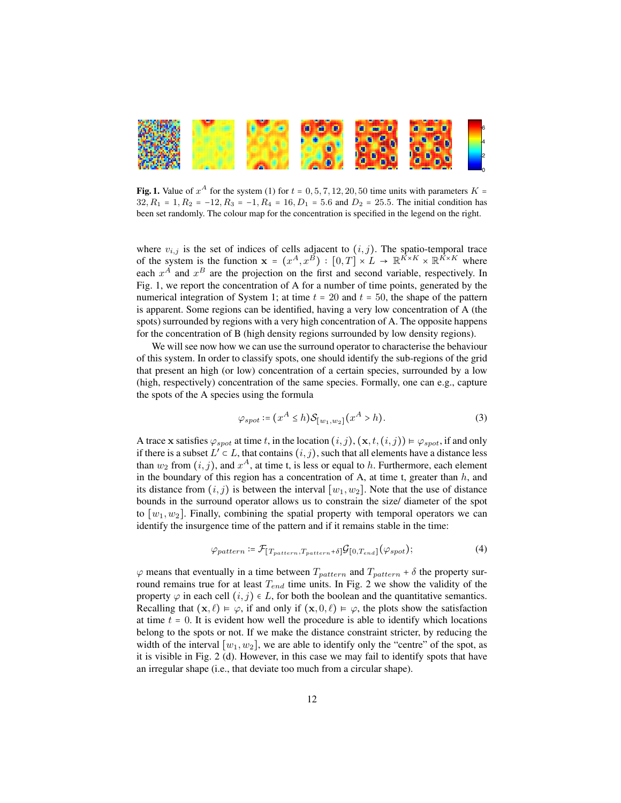

**Fig. 1.** Value of  $x^A$  for the system (1) for  $t = 0, 5, 7, 12, 20, 50$  time units with parameters  $K =$  $32, R_1 = 1, R_2 = -12, R_3 = -1, R_4 = 16, D_1 = 5.6$  and  $D_2 = 25.5$ . The initial condition has been set randomly. The colour map for the concentration is specified in the legend on the right.

where  $v_{i,j}$  is the set of indices of cells adjacent to  $(i, j)$ . The spatio-temporal trace of the system is the function  $\mathbf{x} = (x^A, x^B) : [0, T] \times L \to \mathbb{R}^{\bar{K} \times K} \times \mathbb{R}^{\bar{K} \times K}$  where each  $x^A$  and  $x^B$  are the projection on the first and second variable, respectively. In Fig. 1, we report the concentration of A for a number of time points, generated by the numerical integration of System 1; at time  $t = 20$  and  $t = 50$ , the shape of the pattern is apparent. Some regions can be identified, having a very low concentration of A (the spots) surrounded by regions with a very high concentration of A. The opposite happens for the concentration of B (high density regions surrounded by low density regions).

We will see now how we can use the surround operator to characterise the behaviour of this system. In order to classify spots, one should identify the sub-regions of the grid that present an high (or low) concentration of a certain species, surrounded by a low (high, respectively) concentration of the same species. Formally, one can e.g., capture the spots of the A species using the formula

$$
\varphi_{spot} \coloneqq (x^A \le h) \mathcal{S}_{[w_1, w_2]}(x^A > h). \tag{3}
$$

A trace x satisfies  $\varphi_{spot}$  at time t, in the location  $(i, j)$ ,  $(x, t, (i, j)) \models \varphi_{spot}$ , if and only if there is a subset  $L' \subset L$ , that contains  $(i, j)$ , such that all elements have a distance less than  $w_2$  from  $(i, j)$ , and  $x^A$ , at time t, is less or equal to h. Furthermore, each element in the boundary of this region has a concentration of A, at time t, greater than  $h$ , and its distance from  $(i, j)$  is between the interval  $[w_1, w_2]$ . Note that the use of distance bounds in the surround operator allows us to constrain the size/ diameter of the spot to  $[w_1, w_2]$ . Finally, combining the spatial property with temporal operators we can identify the insurgence time of the pattern and if it remains stable in the time:

$$
\varphi_{pattern} := \mathcal{F}_{[T_{pattern},T_{pattern}+\delta]} \mathcal{G}_{[0,T_{end}]}(\varphi_{spot});\tag{4}
$$

 $\varphi$  means that eventually in a time between  $T_{pattern}$  and  $T_{pattern} + \delta$  the property surround remains true for at least  $T_{end}$  time units. In Fig. 2 we show the validity of the property  $\varphi$  in each cell  $(i, j) \in L$ , for both the boolean and the quantitative semantics. Recalling that  $(\mathbf{x}, \ell) \models \varphi$ , if and only if  $(\mathbf{x}, 0, \ell) \models \varphi$ , the plots show the satisfaction at time  $t = 0$ . It is evident how well the procedure is able to identify which locations belong to the spots or not. If we make the distance constraint stricter, by reducing the width of the interval  $[w_1, w_2]$ , we are able to identify only the "centre" of the spot, as it is visible in Fig. 2 (d). However, in this case we may fail to identify spots that have an irregular shape (i.e., that deviate too much from a circular shape).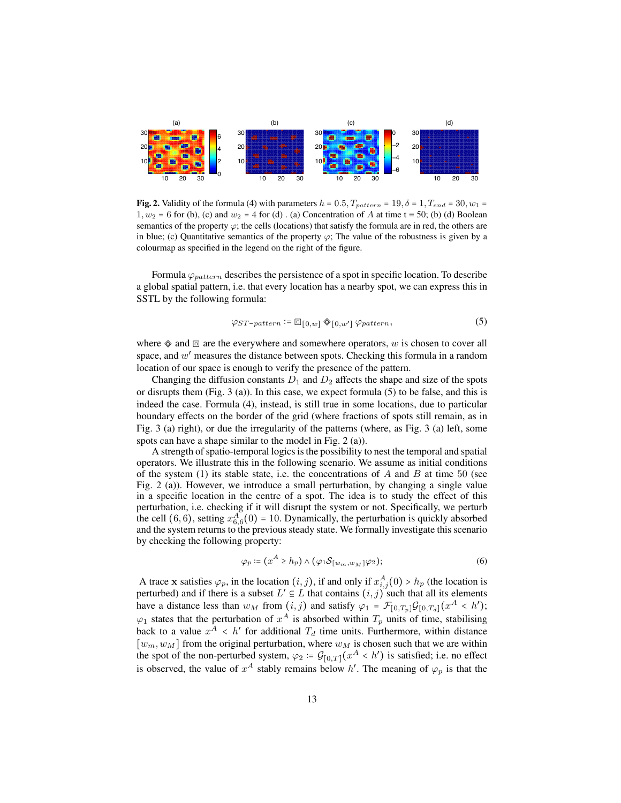

Fig. 2. Validity of the formula (4) with parameters  $h = 0.5$ ,  $T_{pattern} = 19$ ,  $\delta = 1$ ,  $T_{end} = 30$ ,  $w_1 =$  $1, w_2 = 6$  for (b), (c) and  $w_2 = 4$  for (d) . (a) Concentration of A at time t = 50; (b) (d) Boolean semantics of the property  $\varphi$ ; the cells (locations) that satisfy the formula are in red, the others are in blue; (c) Quantitative semantics of the property  $\varphi$ ; The value of the robustness is given by a colourmap as specified in the legend on the right of the figure.

Formula  $\varphi_{pattern}$  describes the persistence of a spot in specific location. To describe a global spatial pattern, i.e. that every location has a nearby spot, we can express this in SSTL by the following formula:

$$
\varphi_{ST-pattern} \coloneqq \Box_{[0,w]} \otimes_{[0,w']} \varphi_{pattern}, \tag{5}
$$

where  $\otimes$  and  $\Box$  are the everywhere and somewhere operators, w is chosen to cover all space, and  $w'$  measures the distance between spots. Checking this formula in a random location of our space is enough to verify the presence of the pattern.

Changing the diffusion constants  $D_1$  and  $D_2$  affects the shape and size of the spots or disrupts them (Fig. 3 (a)). In this case, we expect formula (5) to be false, and this is indeed the case. Formula (4), instead, is still true in some locations, due to particular boundary effects on the border of the grid (where fractions of spots still remain, as in Fig. 3 (a) right), or due the irregularity of the patterns (where, as Fig. 3 (a) left, some spots can have a shape similar to the model in Fig. 2 (a)).

A strength of spatio-temporal logics is the possibility to nest the temporal and spatial operators. We illustrate this in the following scenario. We assume as initial conditions of the system (1) its stable state, i.e. the concentrations of  $A$  and  $B$  at time 50 (see Fig. 2 (a)). However, we introduce a small perturbation, by changing a single value in a specific location in the centre of a spot. The idea is to study the effect of this perturbation, i.e. checking if it will disrupt the system or not. Specifically, we perturb the cell  $(6, 6)$ , setting  $x_{6, 6}^A(0) = 10$ . Dynamically, the perturbation is quickly absorbed and the system returns to the previous steady state. We formally investigate this scenario by checking the following property:

$$
\varphi_p \coloneqq (x^A \ge h_p) \land (\varphi_1 \mathcal{S}_{[w_m, w_M]} \varphi_2); \tag{6}
$$

A trace x satisfies  $\varphi_p$ , in the location  $(i, j)$ , if and only if  $x^A_{i,j}(0) > h_p$  (the location is perturbed) and if there is a subset  $L' \subseteq L$  that contains  $(i, j)$  such that all its elements have a distance less than  $w_M$  from  $(i, j)$  and satisfy  $\varphi_1 = \mathcal{F}_{[0, T_p]} \mathcal{G}_{[0, T_d]}(x^A \le h')$ ;  $\varphi_1$  states that the perturbation of  $x^A$  is absorbed within  $T_p$  units of time, stabilising back to a value  $x^A \leq h'$  for additional  $T_d$  time units. Furthermore, within distance  $[w_m, w_M]$  from the original perturbation, where  $w_M$  is chosen such that we are within the spot of the non-perturbed system,  $\varphi_2 \coloneqq \mathcal{G}_{[0,T]}(x^A \lt h')$  is satisfied; i.e. no effect is observed, the value of  $x^A$  stably remains below h'. The meaning of  $\varphi_p$  is that the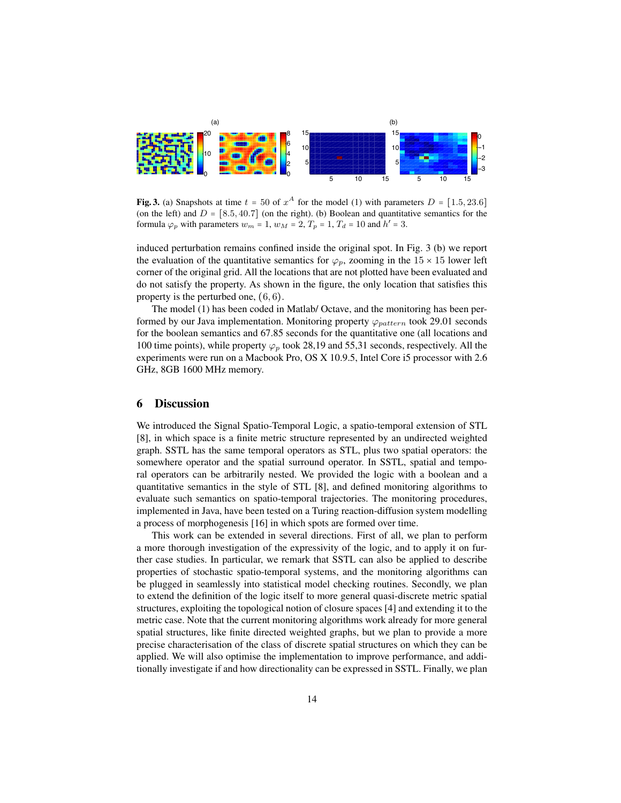

**Fig. 3.** (a) Snapshots at time  $t = 50$  of  $x^A$  for the model (1) with parameters  $D = [1.5, 23.6]$ (on the left) and  $D = [8.5, 40.7]$  (on the right). (b) Boolean and quantitative semantics for the formula  $\varphi_p$  with parameters  $w_m = 1$ ,  $w_M = 2$ ,  $T_p = 1$ ,  $T_d = 10$  and  $h' = 3$ .

induced perturbation remains confined inside the original spot. In Fig. 3 (b) we report the evaluation of the quantitative semantics for  $\varphi_p$ , zooming in the 15 × 15 lower left corner of the original grid. All the locations that are not plotted have been evaluated and do not satisfy the property. As shown in the figure, the only location that satisfies this property is the perturbed one,  $(6, 6)$ .

The model (1) has been coded in Matlab/ Octave, and the monitoring has been performed by our Java implementation. Monitoring property  $\varphi_{pattern}$  took 29.01 seconds for the boolean semantics and 67.85 seconds for the quantitative one (all locations and 100 time points), while property  $\varphi_p$  took 28,19 and 55,31 seconds, respectively. All the experiments were run on a Macbook Pro, OS X 10.9.5, Intel Core i5 processor with 2.6 GHz, 8GB 1600 MHz memory.

### 6 Discussion

We introduced the Signal Spatio-Temporal Logic, a spatio-temporal extension of STL [8], in which space is a finite metric structure represented by an undirected weighted graph. SSTL has the same temporal operators as STL, plus two spatial operators: the somewhere operator and the spatial surround operator. In SSTL, spatial and temporal operators can be arbitrarily nested. We provided the logic with a boolean and a quantitative semantics in the style of STL [8], and defined monitoring algorithms to evaluate such semantics on spatio-temporal trajectories. The monitoring procedures, implemented in Java, have been tested on a Turing reaction-diffusion system modelling a process of morphogenesis [16] in which spots are formed over time.

This work can be extended in several directions. First of all, we plan to perform a more thorough investigation of the expressivity of the logic, and to apply it on further case studies. In particular, we remark that SSTL can also be applied to describe properties of stochastic spatio-temporal systems, and the monitoring algorithms can be plugged in seamlessly into statistical model checking routines. Secondly, we plan to extend the definition of the logic itself to more general quasi-discrete metric spatial structures, exploiting the topological notion of closure spaces [4] and extending it to the metric case. Note that the current monitoring algorithms work already for more general spatial structures, like finite directed weighted graphs, but we plan to provide a more precise characterisation of the class of discrete spatial structures on which they can be applied. We will also optimise the implementation to improve performance, and additionally investigate if and how directionality can be expressed in SSTL. Finally, we plan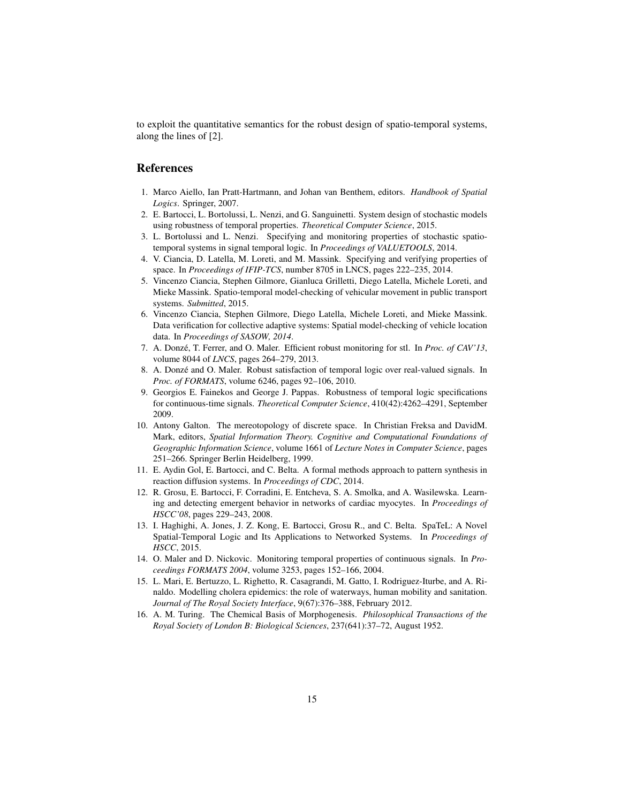to exploit the quantitative semantics for the robust design of spatio-temporal systems, along the lines of [2].

### References

- 1. Marco Aiello, Ian Pratt-Hartmann, and Johan van Benthem, editors. *Handbook of Spatial Logics*. Springer, 2007.
- 2. E. Bartocci, L. Bortolussi, L. Nenzi, and G. Sanguinetti. System design of stochastic models using robustness of temporal properties. *Theoretical Computer Science*, 2015.
- 3. L. Bortolussi and L. Nenzi. Specifying and monitoring properties of stochastic spatiotemporal systems in signal temporal logic. In *Proceedings of VALUETOOLS*, 2014.
- 4. V. Ciancia, D. Latella, M. Loreti, and M. Massink. Specifying and verifying properties of space. In *Proceedings of IFIP-TCS*, number 8705 in LNCS, pages 222–235, 2014.
- 5. Vincenzo Ciancia, Stephen Gilmore, Gianluca Grilletti, Diego Latella, Michele Loreti, and Mieke Massink. Spatio-temporal model-checking of vehicular movement in public transport systems. *Submitted*, 2015.
- 6. Vincenzo Ciancia, Stephen Gilmore, Diego Latella, Michele Loreti, and Mieke Massink. Data verification for collective adaptive systems: Spatial model-checking of vehicle location data. In *Proceedings of SASOW, 2014*.
- 7. A. Donze, T. Ferrer, and O. Maler. Efficient robust monitoring for stl. In ´ *Proc. of CAV'13*, volume 8044 of *LNCS*, pages 264–279, 2013.
- 8. A. Donzé and O. Maler. Robust satisfaction of temporal logic over real-valued signals. In *Proc. of FORMATS*, volume 6246, pages 92–106, 2010.
- 9. Georgios E. Fainekos and George J. Pappas. Robustness of temporal logic specifications for continuous-time signals. *Theoretical Computer Science*, 410(42):4262–4291, September 2009.
- 10. Antony Galton. The mereotopology of discrete space. In Christian Freksa and DavidM. Mark, editors, *Spatial Information Theory. Cognitive and Computational Foundations of Geographic Information Science*, volume 1661 of *Lecture Notes in Computer Science*, pages 251–266. Springer Berlin Heidelberg, 1999.
- 11. E. Aydin Gol, E. Bartocci, and C. Belta. A formal methods approach to pattern synthesis in reaction diffusion systems. In *Proceedings of CDC*, 2014.
- 12. R. Grosu, E. Bartocci, F. Corradini, E. Entcheva, S. A. Smolka, and A. Wasilewska. Learning and detecting emergent behavior in networks of cardiac myocytes. In *Proceedings of HSCC'08*, pages 229–243, 2008.
- 13. I. Haghighi, A. Jones, J. Z. Kong, E. Bartocci, Grosu R., and C. Belta. SpaTeL: A Novel Spatial-Temporal Logic and Its Applications to Networked Systems. In *Proceedings of HSCC*, 2015.
- 14. O. Maler and D. Nickovic. Monitoring temporal properties of continuous signals. In *Proceedings FORMATS 2004*, volume 3253, pages 152–166, 2004.
- 15. L. Mari, E. Bertuzzo, L. Righetto, R. Casagrandi, M. Gatto, I. Rodriguez-Iturbe, and A. Rinaldo. Modelling cholera epidemics: the role of waterways, human mobility and sanitation. *Journal of The Royal Society Interface*, 9(67):376–388, February 2012.
- 16. A. M. Turing. The Chemical Basis of Morphogenesis. *Philosophical Transactions of the Royal Society of London B: Biological Sciences*, 237(641):37–72, August 1952.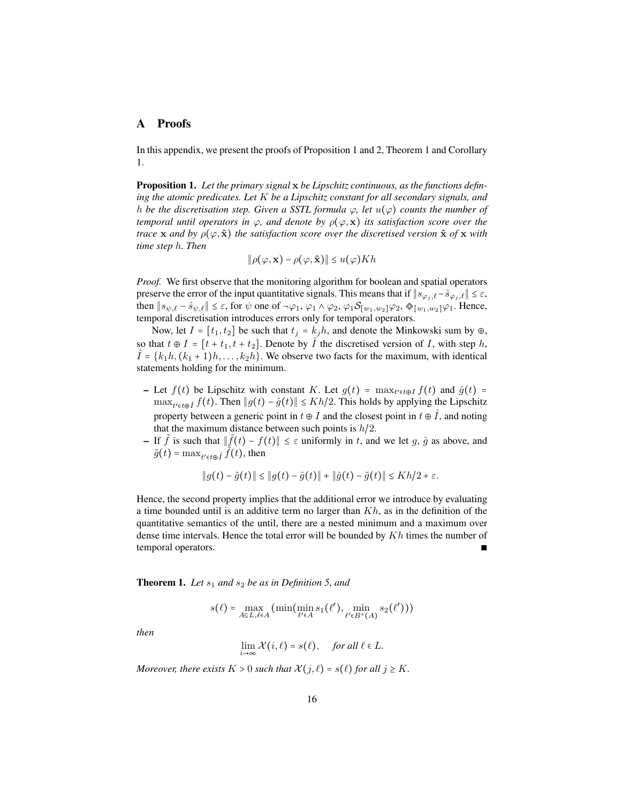# A Proofs

In this appendix, we present the proofs of Proposition 1 and 2, Theorem 1 and Corollary 1.

Proposition 1. *Let the primary signal* x *be Lipschitz continuous, as the functions defining the atomic predicates. Let* K *be a Lipschitz constant for all secondary signals, and* h be the discretisation step. Given a SSTL formula  $\varphi$ , let  $u(\varphi)$  counts the number of *temporal until operators in*  $\varphi$ *, and denote by*  $\rho(\varphi, \mathbf{x})$  *its satisfaction score over the trace* **x** *and by*  $\rho(\varphi, \hat{\mathbf{x}})$  *the satisfaction score over the discretised version*  $\hat{\mathbf{x}}$  *of* **x** *with time step* h*. Then*

$$
\|\rho(\varphi, \mathbf{x}) - \rho(\varphi, \mathbf{\hat{x}})\| \le u(\varphi) Kh
$$

*Proof.* We first observe that the monitoring algorithm for boolean and spatial operators preserve the error of the input quantitative signals. This means that if  $||s_{\varphi_i,\ell}-\hat{s}_{\varphi_i,\ell}|| \leq \varepsilon$ , then  $||s_{\psi,\ell} - \hat{s}_{\psi,\ell}|| \leq \varepsilon$ , for  $\psi$  one of  $\neg \varphi_1$ ,  $\varphi_1 \wedge \varphi_2$ ,  $\varphi_1 \mathcal{S}_{[w_1,w_2]} \varphi_2$ ,  $\otimes_{[w_1,w_2]} \varphi_1$ . Hence, temporal discretisation introduces errors only for temporal operators.

Now, let  $I = [t_1, t_2]$  be such that  $t_i = k_i h$ , and denote the Minkowski sum by  $\oplus$ , so that  $t \oplus I = [t + t_1, t + t_2]$ . Denote by  $\hat{I}$  the discretised version of  $I$ , with step  $h$ ,  $I = \{k_1h, (k_1 + 1)h, \ldots, k_2h\}$ . We observe two facts for the maximum, with identical statements holding for the minimum.

- Let  $f(t)$  be Lipschitz with constant K. Let  $g(t) = \max_{t' \in t \oplus I} f(t)$  and  $\hat{g}(t) =$  $\max_{t' \in t \oplus \hat{I}} f(t)$ . Then  $||g(t) - \hat{g}(t)|| \le Kh/2$ . This holds by applying the Lipschitz property between a generic point in  $t \oplus I$  and the closest point in  $t \oplus I$ , and noting that the maximum distance between such points is  $h/2$ .
- $-$  If  $\tilde{f}$  is such that  $\|\tilde{f}(t) f(t)\| \leq \varepsilon$  uniformly in t, and we let g,  $\hat{g}$  as above, and  $\tilde{g}(t) = \max_{t' \in t \oplus \hat{I}} \tilde{f}(t)$ , then

$$
\|g(t) - \tilde{g}(t)\| \le \|g(t) - \hat{g}(t)\| + \|\hat{g}(t) - \tilde{g}(t)\| \le Kh/2 + \varepsilon.
$$

Hence, the second property implies that the additional error we introduce by evaluating a time bounded until is an additive term no larger than  $Kh$ , as in the definition of the quantitative semantics of the until, there are a nested minimum and a maximum over dense time intervals. Hence the total error will be bounded by  $Kh$  times the number of temporal operators.

**Theorem 1.** Let  $s_1$  and  $s_2$  be as in Definition 5, and

$$
s(\ell) = \max_{A \subseteq L, \ell \in A} \left( \min(\min_{\ell' \in A} s_1(\ell'), \min_{\ell' \in B^+(A)} s_2(\ell')) \right)
$$

*then*

$$
\lim_{i\to\infty}\mathcal{X}(i,\ell)=s(\ell), \quad \text{ for all } \ell\in L.
$$

*Moreover, there exists*  $K > 0$  *such that*  $\mathcal{X}(j, \ell) = s(\ell)$  *for all*  $j \geq K$ *.*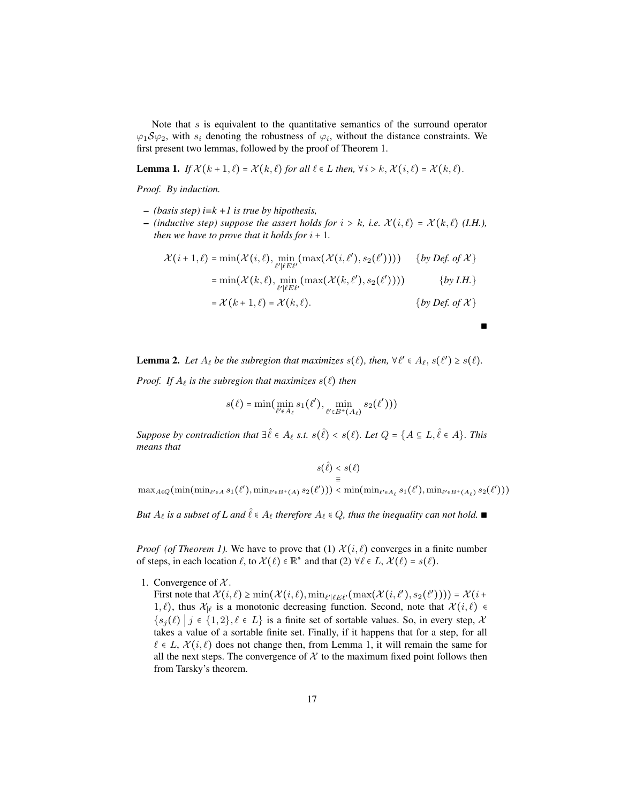Note that  $s$  is equivalent to the quantitative semantics of the surround operator  $\varphi_1 \mathcal{S} \varphi_2$ , with  $s_i$  denoting the robustness of  $\varphi_i$ , without the distance constraints. We first present two lemmas, followed by the proof of Theorem 1.

**Lemma 1.** *If*  $\mathcal{X}(k+1,\ell) = \mathcal{X}(k,\ell)$  *for all*  $\ell \in L$  *then,*  $\forall i > k$ ,  $\mathcal{X}(i,\ell) = \mathcal{X}(k,\ell)$ .

*Proof. By induction.*

- *(basis step) i=k +1 is true by hipothesis,*
- $-$  *(inductive step) suppose the assert holds for*  $i > k$ *, i.e.*  $\mathcal{X}(i, \ell) = \mathcal{X}(k, \ell)$  *(I.H.), then we have to prove that it holds for*  $i + 1$ *.*

$$
\mathcal{X}(i+1,\ell) = \min(\mathcal{X}(i,\ell), \min_{\ell'|\ell \in \ell'} (\max(\mathcal{X}(i,\ell'), s_2(\ell')))) \quad \text{by Def. of } \mathcal{X}\}
$$

$$
= \min(\mathcal{X}(k,\ell), \min_{\ell'|\ell E\ell'} (\max(\mathcal{X}(k,\ell'), s_2(\ell')))) \qquad \{by \text{ I.H.}\}
$$

$$
= \mathcal{X}(k+1,\ell) = \mathcal{X}(k,\ell).
$$
 {by Def. of  $\mathcal{X}$ }

∎

**Lemma 2.** Let  $A_\ell$  be the subregion that maximizes  $s(\ell)$ , then,  $\forall \ell' \in A_\ell$ ,  $s(\ell') \geq s(\ell)$ .

*Proof.* If  $A_\ell$  *is the subregion that maximizes*  $s(\ell)$  *then* 

$$
s(\ell) = \min\bigl(\min_{\ell' \in A_\ell} s_1(\ell'), \min_{\ell' \in B^+(A_\ell)} s_2(\ell')\bigr)\bigr)
$$

*Suppose by contradiction that*  $\exists \hat{\ell} \in A_{\ell} \text{ s.t. } s(\hat{\ell}) < s(\ell)$ . Let  $Q = \{A \subseteq L, \hat{\ell} \in A\}$ . This *means that*

> $s(\hat{\ell}) < s(\ell)$ ≡

 $\max_{A \in Q} (\min(\min_{\ell' \in A} s_1(\ell'), \min_{\ell' \in B^+(A)} s_2(\ell')))< \min(\min_{\ell' \in A_\ell} s_1(\ell'), \min_{\ell' \in B^+(A_\ell)} s_2(\ell')))$ 

*But*  $A_\ell$  *is a subset of L and*  $\hat{\ell} \in A_\ell$  *therefore*  $A_\ell \in Q$ *, thus the inequality can not hold.* ■

*Proof* (of Theorem 1). We have to prove that (1)  $\mathcal{X}(i, \ell)$  converges in a finite number of steps, in each location  $\ell$ , to  $\mathcal{X}(\ell) \in \mathbb{R}^*$  and that (2)  $\forall \ell \in L$ ,  $\mathcal{X}(\ell) = s(\ell)$ .

- 1. Convergence of  $X$ .
	- First note that  $\mathcal{X}(i, \ell) \ge \min(\mathcal{X}(i, \ell), \min_{\ell' | \ell E \ell'} (\max(\mathcal{X}(i, \ell'), s_2(\ell'))) ) = \mathcal{X}(i + \ell')$ 1,  $\ell$ ), thus  $\mathcal{X}_{|\ell}$  is a monotonic decreasing function. Second, note that  $\mathcal{X}(i, \ell)$  ∈  ${s_i(\ell) | j \in \{1,2\}, \ell \in L}$  is a finite set of sortable values. So, in every step, X takes a value of a sortable finite set. Finally, if it happens that for a step, for all  $\ell \in L$ ,  $\mathcal{X}(i, \ell)$  does not change then, from Lemma 1, it will remain the same for all the next steps. The convergence of  $X$  to the maximum fixed point follows then from Tarsky's theorem.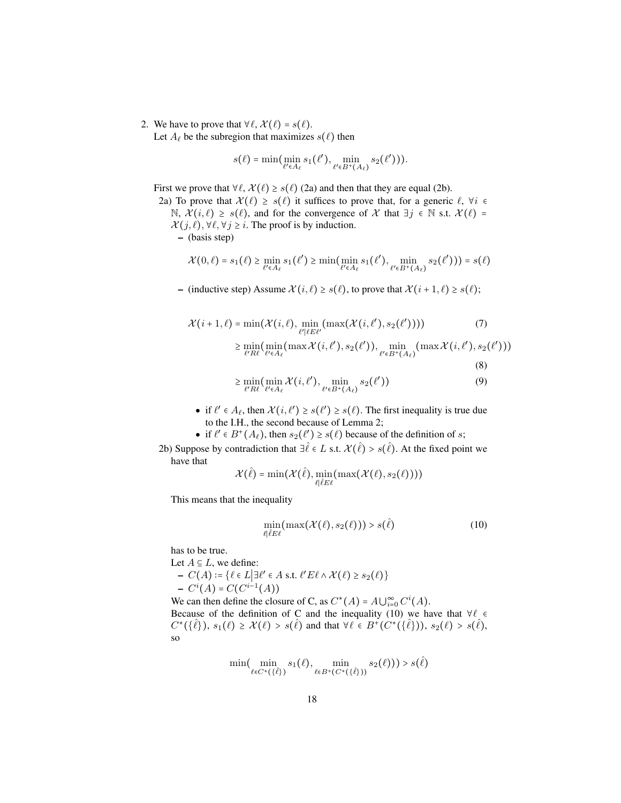2. We have to prove that  $\forall \ell, \mathcal{X}(\ell) = s(\ell)$ . Let  $A_\ell$  be the subregion that maximizes  $s(\ell)$  then

$$
s(\ell) = \min\bigl(\min_{\ell' \in A_\ell} s_1(\ell'), \min_{\ell' \in B^+(A_\ell)} s_2(\ell')\bigr)\bigr).
$$

First we prove that  $\forall \ell, \mathcal{X}(\ell) \geq s(\ell)$  (2a) and then that they are equal (2b).

2a) To prove that  $\mathcal{X}(\ell) \geq s(\ell)$  it suffices to prove that, for a generic  $\ell$ ,  $\forall i \in \mathbb{Z}$ N,  $\mathcal{X}(i, l) \ge s(l)$ , and for the convergence of X that  $\exists j \in \mathbb{N}$  s.t.  $\mathcal{X}(l) =$  $\mathcal{X}(j,\ell), \forall \ell, \forall j \geq i$ . The proof is by induction.

– (basis step)

$$
\mathcal{X}(0,\ell)=s_1(\ell)\geq \min_{\ell'\in A_\ell} s_1(\ell')\geq \min\bigl(\min_{\ell'\in A_\ell} s_1(\ell'), \min_{\ell'\in B^+(A_\ell)} s_2(\ell'))\bigr)=s(\ell)
$$

– (inductive step) Assume  $\mathcal{X}(i, \ell) \geq s(\ell)$ , to prove that  $\mathcal{X}(i + 1, \ell) \geq s(\ell);$ 

$$
\mathcal{X}(i+1,\ell) = \min(\mathcal{X}(i,\ell), \min_{\ell'|\ell E\ell'} (\max(\mathcal{X}(i,\ell'), s_2(\ell'))))
$$
(7)  

$$
\geq \min_{\ell' R\ell} (\min_{\ell' \in A_{\ell}} (\max \mathcal{X}(i,\ell'), s_2(\ell')), \min_{\ell' \in B^+(A_{\ell})} (\max \mathcal{X}(i,\ell'), s_2(\ell')))
$$
(8)  

$$
\geq \min_{\ell' R\ell} (\min_{\ell' \in A_{\ell}} \mathcal{X}(i,\ell'), \min_{\ell' \in B^+(A_{\ell})} s_2(\ell'))
$$
(9)

- if  $\ell' \in A_{\ell}$ , then  $\mathcal{X}(i, \ell') \geq s(\ell') \geq s(\ell)$ . The first inequality is true due to the I.H., the second because of Lemma 2;
- if  $\ell' \in B^+(A_\ell)$ , then  $s_2(\ell') \ge s(\ell)$  because of the definition of s;

2b) Suppose by contradiction that  $\exists \hat{\ell} \in L$  s.t.  $\mathcal{X}(\hat{\ell}) > s(\hat{\ell})$ . At the fixed point we have that

$$
\mathcal{X}(\hat{\ell}) = \min(\mathcal{X}(\hat{\ell}), \min_{\ell | \hat{\ell} \in \ell} (\max(\mathcal{X}(\ell), s_2(\ell))))
$$

This means that the inequality

$$
\min_{\ell|\hat{\ell} \in \ell} (\max(\mathcal{X}(\ell), s_2(\ell))) > s(\hat{\ell}) \tag{10}
$$

has to be true.

Let  $A \subseteq L$ , we define:

 $-C(A) \coloneqq \{ \ell \in L \big| \exists \ell' \in A \text{ s.t. } \ell' E \ell \wedge \mathcal{X}(\ell) \geq s_2(\ell) \}$  $- C^{i}(A) = C(C^{i-1}(A))$ 

We can then define the closure of C, as  $C^*(A) = A \bigcup_{i=0}^{\infty} C^i(A)$ . Because of the definition of C and the inequality (10) we have that  $\forall \ell \in$  $C^*(\{\hat{\ell}\}), s_1(\ell) \geq \mathcal{X}(\ell) > s(\hat{\ell})$  and that  $\forall \ell \in B^+(C^*(\{\hat{\ell}\})), s_2(\ell) > s(\hat{\ell}),$ so

$$
\min\left(\min_{\ell \in C^*(\{\hat{\ell}\})} s_1(\ell), \min_{\ell \in B^+(C^*(\{\hat{\ell}\}))} s_2(\ell)\right) > s(\hat{\ell})
$$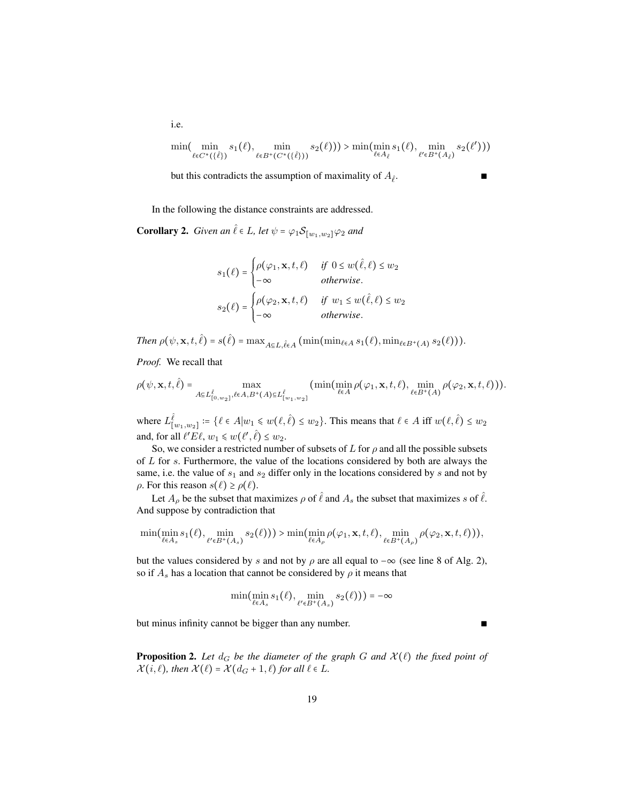i.e.

$$
\min(\min_{\ell \in C^*(\{\hat{\ell}\})} s_1(\ell), \min_{\ell \in B^+(C^*(\{\hat{\ell}\}))} s_2(\ell))) > \min(\min_{\ell \in A_{\hat{\ell}}} s_1(\ell), \min_{\ell' \in B^+(A_{\hat{\ell}})} s_2(\ell'))
$$

but this contradicts the assumption of maximality of  $A_{\hat{\ell}}$ .

In the following the distance constraints are addressed.

**Corollary 2.** *Given an*  $\hat{\ell} \in L$ *, let*  $\psi = \varphi_1 \mathcal{S}_{w_1,w_2} \varphi_2$  *and* 

$$
s_1(\ell) = \begin{cases} \rho(\varphi_1, \mathbf{x}, t, \ell) & \text{if } 0 \le w(\hat{\ell}, \ell) \le w_2 \\ -\infty & \text{otherwise.} \end{cases}
$$
\n
$$
s_2(\ell) = \begin{cases} \rho(\varphi_2, \mathbf{x}, t, \ell) & \text{if } w_1 \le w(\hat{\ell}, \ell) \le w_2 \\ -\infty & \text{otherwise.} \end{cases}
$$

*Then*  $\rho(\psi, \mathbf{x}, t, \hat{\ell}) = s(\hat{\ell}) = \max_{A \subseteq L, \hat{\ell} \in A} (\min(\min_{\ell \in A} s_1(\ell), \min_{\ell \in B^+(A)} s_2(\ell))).$ 

*Proof.* We recall that

$$
\rho\big(\psi,{\bf x},t,\hat{\ell}\big)=\max_{A\subseteq L^\hat{\ell}_{[0,w_2]},\ell\in A,B^+(A)\subseteq L^\hat{\ell}_{[w_1,w_2]}}\big(\min(\min_{\ell\in A}\rho\big(\varphi_1,{\bf x},t,\ell\big),\min_{\ell\in B^+(A)}\rho\big(\varphi_2,{\bf x},t,\ell\big)\big)\big).
$$

where  $L^{\hat{\ell}}_{[w_1,w_2]} := \{ \ell \in A | w_1 \leq w(\ell, \hat{\ell}) \leq w_2 \}$ . This means that  $\ell \in A$  iff  $w(\ell, \hat{\ell}) \leq w_2$ and, for all  $\ell' E\ell, w_1 \leq w(\ell', \hat{\ell}) \leq w_2$ .

So, we consider a restricted number of subsets of L for  $\rho$  and all the possible subsets of  $L$  for  $s$ . Furthermore, the value of the locations considered by both are always the same, i.e. the value of  $s_1$  and  $s_2$  differ only in the locations considered by s and not by  $\rho$ . For this reason  $s(\ell) \ge \rho(\ell)$ .

Let  $A_\rho$  be the subset that maximizes  $\rho$  of  $\hat{\ell}$  and  $A_s$  the subset that maximizes s of  $\hat{\ell}$ . And suppose by contradiction that

$$
\min(\min_{\ell \in A_s} s_1(\ell), \min_{\ell' \in B^+(A_s)} s_2(\ell))) > \min(\min_{\ell \in A_\rho} \rho(\varphi_1, \mathbf{x}, t, \ell), \min_{\ell \in B^+(A_\rho)} \rho(\varphi_2, \mathbf{x}, t, \ell))),
$$

but the values considered by s and not by  $\rho$  are all equal to  $-\infty$  (see line 8 of Alg. 2), so if  $A_s$  has a location that cannot be considered by  $\rho$  it means that

$$
\min\bigl(\min_{\ell\in A_s} s_1(\ell), \min_{\ell'\in B^+(A_s)} s_2(\ell)\bigr)\bigr) = -\infty
$$

but minus infinity cannot be bigger than any number.

**Proposition 2.** Let  $d_G$  be the diameter of the graph G and  $\mathcal{X}(\ell)$  the fixed point of  $\mathcal{X}(i, \ell)$ *, then*  $\mathcal{X}(\ell) = \mathcal{X}(d_G + 1, \ell)$  *for all*  $\ell \in L$ *.*